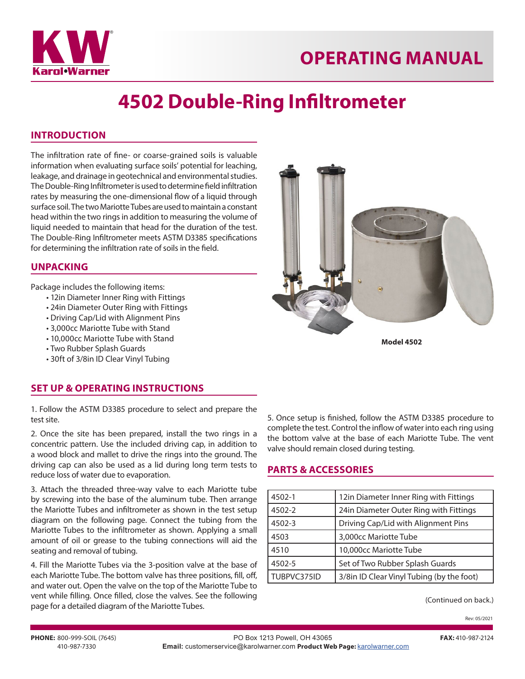



# **4502 Double-Ring Infiltrometer**

### **INTRODUCTION**

The infiltration rate of fine- or coarse-grained soils is valuable information when evaluating surface soils' potential for leaching, leakage, and drainage in geotechnical and environmental studies. The Double-Ring Infiltrometer is used to determine field infiltration rates by measuring the one-dimensional flow of a liquid through surface soil. The two Mariotte Tubes are used to maintain a constant head within the two rings in addition to measuring the volume of liquid needed to maintain that head for the duration of the test. The Double-Ring Infiltrometer meets ASTM D3385 specifications for determining the infiltration rate of soils in the field.

#### **UNPACKING**

Package includes the following items:

- 12in Diameter Inner Ring with Fittings
- 24in Diameter Outer Ring with Fittings
- Driving Cap/Lid with Alignment Pins
- 3,000cc Mariotte Tube with Stand
- 10,000cc Mariotte Tube with Stand
- Two Rubber Splash Guards
- 30ft of 3/8in ID Clear Vinyl Tubing

#### **SET UP & OPERATING INSTRUCTIONS**

1. Follow the ASTM D3385 procedure to select and prepare the test site.

2. Once the site has been prepared, install the two rings in a concentric pattern. Use the included driving cap, in addition to a wood block and mallet to drive the rings into the ground. The driving cap can also be used as a lid during long term tests to reduce loss of water due to evaporation.

3. Attach the threaded three-way valve to each Mariotte tube by screwing into the base of the aluminum tube. Then arrange the Mariotte Tubes and infiltrometer as shown in the test setup diagram on the following page. Connect the tubing from the Mariotte Tubes to the infiltrometer as shown. Applying a small amount of oil or grease to the tubing connections will aid the seating and removal of tubing.

4. Fill the Mariotte Tubes via the 3-position valve at the base of each Mariotte Tube. The bottom valve has three positions, fill, off, and water out. Open the valve on the top of the Mariotte Tube to vent while filling. Once filled, close the valves. See the following page for a detailed diagram of the Mariotte Tubes.



**Model 4502**

5. Once setup is finished, follow the ASTM D3385 procedure to complete the test. Control the inflow of water into each ring using the bottom valve at the base of each Mariotte Tube. The vent valve should remain closed during testing.

#### **PARTS & ACCESSORIES**

| 4502-1      | 12in Diameter Inner Ring with Fittings    |
|-------------|-------------------------------------------|
| 4502-2      | 24in Diameter Outer Ring with Fittings    |
| 4502-3      | Driving Cap/Lid with Alignment Pins       |
| 4503        | 3,000cc Mariotte Tube                     |
| 4510        | 10,000cc Mariotte Tube                    |
| 4502-5      | Set of Two Rubber Splash Guards           |
| TUBPVC375ID | 3/8in ID Clear Vinyl Tubing (by the foot) |

(Continued on back.)

Rev: 05/2021